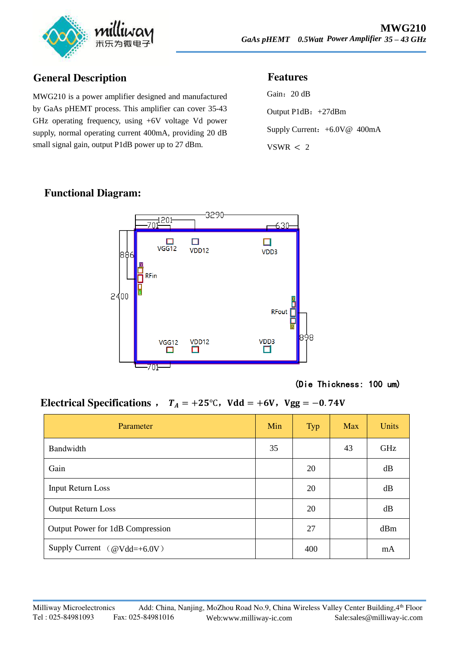

# **General Description**

MWG210 is a power amplifier designed and manufactured by GaAs pHEMT process. This amplifier can cover 35-43 GHz operating frequency, using +6V voltage Vd power supply, normal operating current 400mA, providing 20 dB small signal gain, output P1dB power up to 27 dBm.

#### **Features**

Gain: 20 dB Output P1dB:+27dBm Supply Current: +6.0V@ 400mA  $VSWR < 2$ 

## **Functional Diagram:**



(Die Thickness: 100 um)

## Electrical Specifications ,  $T_A = +25^{\circ}$ C, Vdd = +6V, Vgg = -0.74V

| Parameter                           | Min | <b>Typ</b> | <b>Max</b> | <b>Units</b> |
|-------------------------------------|-----|------------|------------|--------------|
| Bandwidth                           | 35  |            | 43         | <b>GHz</b>   |
| Gain                                |     | 20         |            | dB           |
| <b>Input Return Loss</b>            |     | 20         |            | dB           |
| <b>Output Return Loss</b>           |     | 20         |            | dB           |
| Output Power for 1dB Compression    |     | 27         |            | dBm          |
| Supply Current $(\omega Vdd=+6.0V)$ |     | 400        |            | mA           |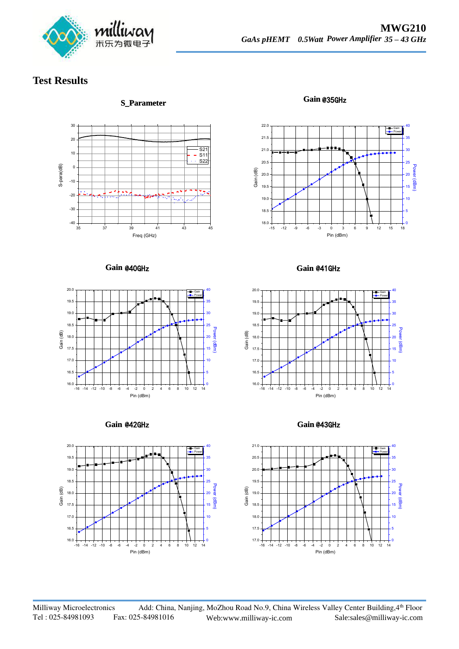

## **Test Results**



**S\_Parameter Gain**

Gain @35GHz



**Gain Gain**



**Gain Gain**



Gain @41GHz



Gain @43GHz



Milliway Microelectronics Add: China, Nanjing, MoZhou Road No.9, China Wireless Valley Center Building, 4th Floor Tel : 025-84981093 Fax: 025-84981016 Web:www.milliway-ic.com Sale:sales@milliway-ic.com